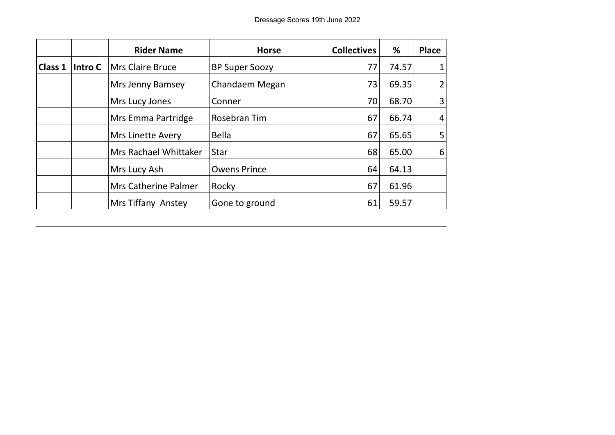|                |         | <b>Rider Name</b>        | <b>Horse</b>          | <b>Collectives</b> | %     | <b>Place</b>   |
|----------------|---------|--------------------------|-----------------------|--------------------|-------|----------------|
| <b>Class 1</b> | Intro C | Mrs Claire Bruce         | <b>BP Super Soozy</b> | 77                 | 74.57 | $\mathbf{1}$   |
|                |         | Mrs Jenny Bamsey         | Chandaem Megan        | 73                 | 69.35 | $\overline{2}$ |
|                |         | Mrs Lucy Jones           | Conner                | 70                 | 68.70 | $\mathbf{3}$   |
|                |         | Mrs Emma Partridge       | Rosebran Tim          | 67                 | 66.74 | $\overline{4}$ |
|                |         | <b>Mrs Linette Avery</b> | <b>Bella</b>          | 67                 | 65.65 | 5              |
|                |         | Mrs Rachael Whittaker    | <b>Star</b>           | 68                 | 65.00 | 6              |
|                |         | Mrs Lucy Ash             | <b>Owens Prince</b>   | 64                 | 64.13 |                |
|                |         | Mrs Catherine Palmer     | Rocky                 | 67                 | 61.96 |                |
|                |         | Mrs Tiffany Anstey       | Gone to ground        | 61                 | 59.57 |                |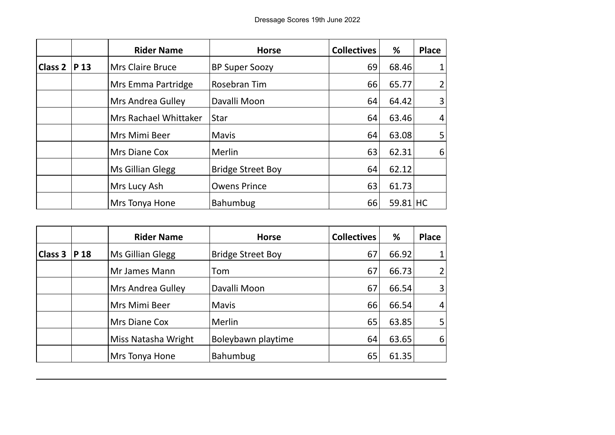|                |          | <b>Rider Name</b>       | <b>Horse</b>             | <b>Collectives</b> | %          | <b>Place</b>   |
|----------------|----------|-------------------------|--------------------------|--------------------|------------|----------------|
| <b>Class 2</b> | $ P_13 $ | <b>Mrs Claire Bruce</b> | <b>BP Super Soozy</b>    | 69                 | 68.46      | $\mathbf 1$    |
|                |          | Mrs Emma Partridge      | Rosebran Tim             | 66                 | 65.77      | $\overline{2}$ |
|                |          | Mrs Andrea Gulley       | Davalli Moon             | 64                 | 64.42      | $\mathbf{3}$   |
|                |          | Mrs Rachael Whittaker   | <b>Star</b>              | 64                 | 63.46      | $\overline{4}$ |
|                |          | Mrs Mimi Beer           | <b>Mavis</b>             | 64                 | 63.08      | 5              |
|                |          | Mrs Diane Cox           | Merlin                   | 63                 | 62.31      | 6              |
|                |          | Ms Gillian Glegg        | <b>Bridge Street Boy</b> | 64                 | 62.12      |                |
|                |          | Mrs Lucy Ash            | <b>Owens Prince</b>      | 63                 | 61.73      |                |
|                |          | Mrs Tonya Hone          | Bahumbug                 | 66                 | $59.81$ HC |                |

|                |      | <b>Rider Name</b>    | <b>Horse</b>             | <b>Collectives</b> | %     | <b>Place</b>   |
|----------------|------|----------------------|--------------------------|--------------------|-------|----------------|
| <b>Class 3</b> | P 18 | Ms Gillian Glegg     | <b>Bridge Street Boy</b> | 67                 | 66.92 |                |
|                |      | Mr James Mann        | Tom                      | 67                 | 66.73 | 2              |
|                |      | Mrs Andrea Gulley    | Davalli Moon             | 67                 | 66.54 | $\overline{3}$ |
|                |      | Mrs Mimi Beer        | <b>Mavis</b>             | 66                 | 66.54 | $\overline{4}$ |
|                |      | <b>Mrs Diane Cox</b> | Merlin                   | 65                 | 63.85 | 5 <sub>l</sub> |
|                |      | Miss Natasha Wright  | Boleybawn playtime       | 64                 | 63.65 | $6 \mid$       |
|                |      | Mrs Tonya Hone       | Bahumbug                 | 65                 | 61.35 |                |